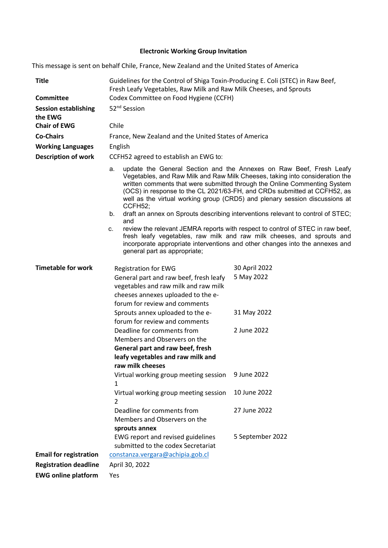# **Electronic Working Group Invitation**

This message is sent on behalf Chile, France, New Zealand and the United States of America

| <b>Title</b>                           | Guidelines for the Control of Shiga Toxin-Producing E. Coli (STEC) in Raw Beef,<br>Fresh Leafy Vegetables, Raw Milk and Raw Milk Cheeses, and Sprouts                                                                                                                                                                                                                                                                                                                                                                                                                                                                                                                                                                                                                                          |                             |
|----------------------------------------|------------------------------------------------------------------------------------------------------------------------------------------------------------------------------------------------------------------------------------------------------------------------------------------------------------------------------------------------------------------------------------------------------------------------------------------------------------------------------------------------------------------------------------------------------------------------------------------------------------------------------------------------------------------------------------------------------------------------------------------------------------------------------------------------|-----------------------------|
| <b>Committee</b>                       | Codex Committee on Food Hygiene (CCFH)                                                                                                                                                                                                                                                                                                                                                                                                                                                                                                                                                                                                                                                                                                                                                         |                             |
| <b>Session establishing</b><br>the EWG | 52 <sup>nd</sup> Session                                                                                                                                                                                                                                                                                                                                                                                                                                                                                                                                                                                                                                                                                                                                                                       |                             |
| <b>Chair of EWG</b>                    | Chile                                                                                                                                                                                                                                                                                                                                                                                                                                                                                                                                                                                                                                                                                                                                                                                          |                             |
| <b>Co-Chairs</b>                       | France, New Zealand and the United States of America                                                                                                                                                                                                                                                                                                                                                                                                                                                                                                                                                                                                                                                                                                                                           |                             |
| <b>Working Languages</b>               | English                                                                                                                                                                                                                                                                                                                                                                                                                                                                                                                                                                                                                                                                                                                                                                                        |                             |
| <b>Description of work</b>             | CCFH52 agreed to establish an EWG to:                                                                                                                                                                                                                                                                                                                                                                                                                                                                                                                                                                                                                                                                                                                                                          |                             |
|                                        | update the General Section and the Annexes on Raw Beef, Fresh Leafy<br>a.<br>Vegetables, and Raw Milk and Raw Milk Cheeses, taking into consideration the<br>written comments that were submitted through the Online Commenting System<br>(OCS) in response to the CL 2021/63-FH, and CRDs submitted at CCFH52, as<br>well as the virtual working group (CRD5) and plenary session discussions at<br>CCFH52;<br>draft an annex on Sprouts describing interventions relevant to control of STEC;<br>b.<br>and<br>review the relevant JEMRA reports with respect to control of STEC in raw beef,<br>c.<br>fresh leafy vegetables, raw milk and raw milk cheeses, and sprouts and<br>incorporate appropriate interventions and other changes into the annexes and<br>general part as appropriate; |                             |
| <b>Timetable for work</b>              | Registration for EWG<br>General part and raw beef, fresh leafy<br>vegetables and raw milk and raw milk<br>cheeses annexes uploaded to the e-<br>forum for review and comments                                                                                                                                                                                                                                                                                                                                                                                                                                                                                                                                                                                                                  | 30 April 2022<br>5 May 2022 |
|                                        | Sprouts annex uploaded to the e-<br>forum for review and comments                                                                                                                                                                                                                                                                                                                                                                                                                                                                                                                                                                                                                                                                                                                              | 31 May 2022                 |
|                                        | Deadline for comments from<br>Members and Observers on the<br>General part and raw beef, fresh<br>leafy vegetables and raw milk and<br>raw milk cheeses                                                                                                                                                                                                                                                                                                                                                                                                                                                                                                                                                                                                                                        | 2 June 2022                 |
|                                        | Virtual working group meeting session<br>1                                                                                                                                                                                                                                                                                                                                                                                                                                                                                                                                                                                                                                                                                                                                                     | 9 June 2022                 |
|                                        | Virtual working group meeting session<br>2                                                                                                                                                                                                                                                                                                                                                                                                                                                                                                                                                                                                                                                                                                                                                     | 10 June 2022                |
|                                        | Deadline for comments from<br>Members and Observers on the<br>sprouts annex                                                                                                                                                                                                                                                                                                                                                                                                                                                                                                                                                                                                                                                                                                                    | 27 June 2022                |
|                                        | EWG report and revised guidelines<br>submitted to the codex Secretariat                                                                                                                                                                                                                                                                                                                                                                                                                                                                                                                                                                                                                                                                                                                        | 5 September 2022            |
| <b>Email for registration</b>          | constanza.vergara@achipia.gob.cl                                                                                                                                                                                                                                                                                                                                                                                                                                                                                                                                                                                                                                                                                                                                                               |                             |
| <b>Registration deadline</b>           | April 30, 2022                                                                                                                                                                                                                                                                                                                                                                                                                                                                                                                                                                                                                                                                                                                                                                                 |                             |
| <b>EWG online platform</b>             | Yes                                                                                                                                                                                                                                                                                                                                                                                                                                                                                                                                                                                                                                                                                                                                                                                            |                             |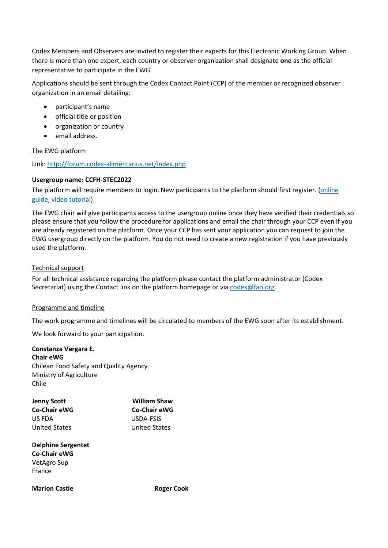Codex Members and Observers are invited to register their experts for this Electronic Working Group. When there is more than one expert, each country or observer organization shall designate **one** as the official representative to participate in the EWG.

Applications should be sent through the Codex Contact Point (CCP) of the member or recognized observer organization in an email detailing:

- participant's name
- official title or position
- organization or country
- email address.

### The EWG platform

Link[: http://forum.codex-alimentarius.net/index.php](http://forum.codex-alimentarius.net/index.php)

### **Usergroup name: CCFH-STEC2022**

The platform will require members to login. New participants to the platform should first register. [\(online](http://forum.codex-alimentarius.net/viewtopic.php?f=13&t=11)  [guide,](http://forum.codex-alimentarius.net/viewtopic.php?f=13&t=11) [video tutorial\)](https://youtu.be/EJn9k7wNSwk)

The EWG chair will give participants access to the usergroup online once they have verified their credentials so please ensure that you follow the procedure for applications and email the chair through your CCP even if you are already registered on the platform. Once your CCP has sent your application you can request to join the EWG usergroup directly on the platform. You do not need to create a new registration if you have previously used the platform.

### Technical support

For all technical assistance regarding the platform please contact the platform administrator (Codex Secretariat) using the [Contact link](http://forum.codex-alimentarius.net/) on the platform homepage or via [codex@fao.org.](mailto:codex@fao.org)

### Programme and timeline

The work programme and timelines will be circulated to members of the EWG soon after its establishment.

We look forward to your participation.

## **Constanza Vergara E. Chair eWG**

Chilean Food Safety and Quality Agency Ministry of Agriculture Chile

| <b>William Shaw</b><br><b>Co-Chair eWG</b> |
|--------------------------------------------|
|                                            |
| <b>United States</b>                       |
|                                            |

**Delphine Sergentet Co-Chair eWG** VetAgro Sup France

**Marion Castle Cook** Roger Cook